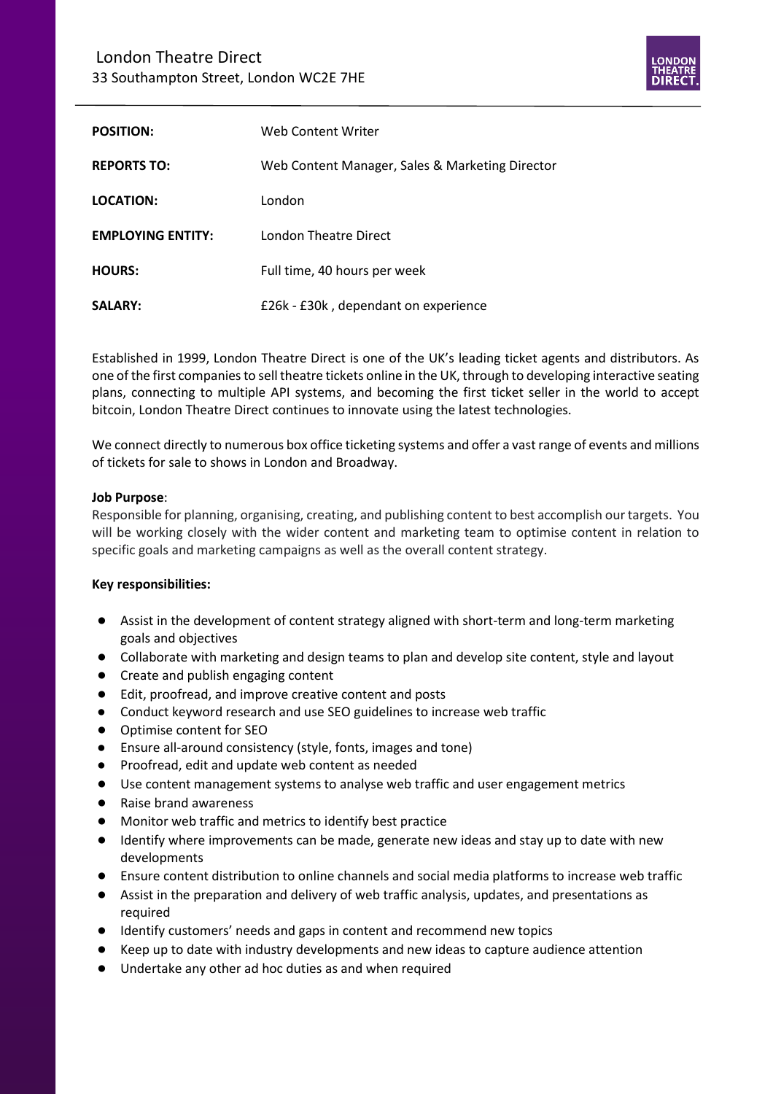## London Theatre Direct 33 Southampton Street, London WC2E 7HE



| <b>POSITION:</b>         | Web Content Writer                              |
|--------------------------|-------------------------------------------------|
| <b>REPORTS TO:</b>       | Web Content Manager, Sales & Marketing Director |
| LOCATION:                | London                                          |
| <b>EMPLOYING ENTITY:</b> | London Theatre Direct                           |
| <b>HOURS:</b>            | Full time, 40 hours per week                    |
| <b>SALARY:</b>           | £26k - £30k, dependant on experience            |

Established in 1999, London Theatre Direct is one of the UK's leading ticket agents and distributors. As one of the first companies to sell theatre tickets online in the UK, through to developing interactive seating plans, connecting to multiple API systems, and becoming the first ticket seller in the world to accept bitcoin, London Theatre Direct continues to innovate using the latest technologies.

We connect directly to numerous box office ticketing systems and offer a vast range of events and millions of tickets for sale to shows in London and Broadway.

## **Job Purpose**:

Responsible for planning, organising, creating, and publishing content to best accomplish our targets. You will be working closely with the wider content and marketing team to optimise content in relation to specific goals and marketing campaigns as well as the overall content strategy.

## **Key responsibilities:**

- Assist in the development of content strategy aligned with short-term and long-term marketing goals and objectives
- Collaborate with marketing and design teams to plan and develop site content, style and layout
- Create and publish engaging content
- Edit, proofread, and improve creative content and posts
- Conduct keyword research and use SEO guidelines to increase web traffic
- Optimise content for SEO
- Ensure all-around consistency (style, fonts, images and tone)
- Proofread, edit and update web content as needed
- Use content management systems to analyse web traffic and user engagement metrics
- Raise brand awareness
- Monitor web traffic and metrics to identify best practice
- Identify where improvements can be made, generate new ideas and stay up to date with new developments
- Ensure content distribution to online channels and social media platforms to increase web traffic
- Assist in the preparation and delivery of web traffic analysis, updates, and presentations as required
- Identify customers' needs and gaps in content and recommend new topics
- Keep up to date with industry developments and new ideas to capture audience attention
- Undertake any other ad hoc duties as and when required